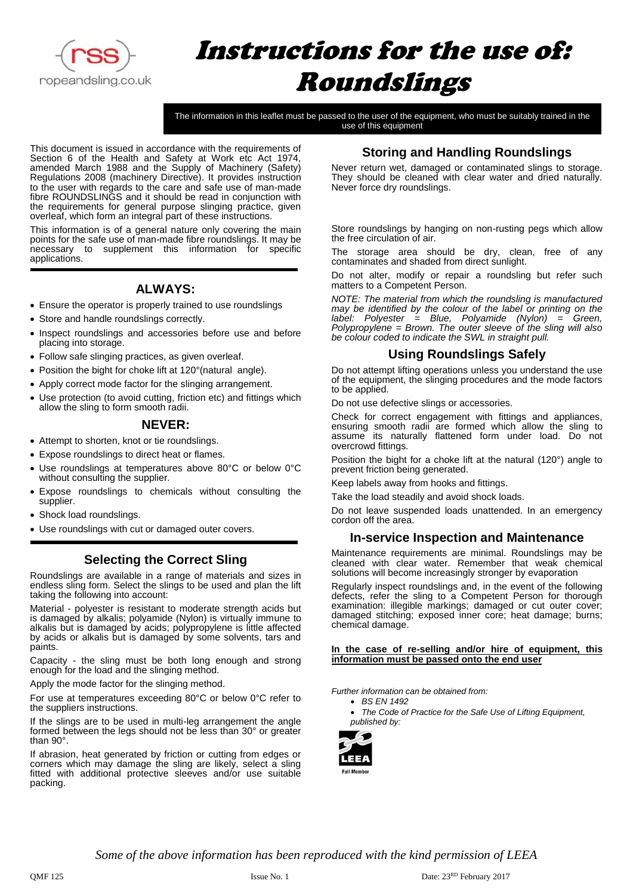

# Instructions for the use of: Roundslings

The information in this leaflet must be passed to the user of the equipment, who must be suitably trained in the use of this equipment

This document is issued in accordance with the requirements of Section 6 of the Health and Safety at Work etc Act 1974, amended March 1988 and the Supply of Machinery (Safety) Regulations 2008 (machinery Directive). It provides instruction to the user with regards to the care and safe use of man-made fibre ROUNDSLINGS and it should be read in conjunction with the requirements for general purpose slinging practice, given overleaf, which form an integral part of these instructions.

This information is of a general nature only covering the main points for the safe use of man-made fibre roundslings. It may be necessary to supplement this information for specific applications.

## **ALWAYS:**

- Ensure the operator is properly trained to use roundslings
- Store and handle roundslings correctly.
- Inspect roundslings and accessories before use and before placing into storage.
- Follow safe slinging practices, as given overleaf.
- Position the bight for choke lift at 120° (natural angle).
- Apply correct mode factor for the slinging arrangement.
- Use protection (to avoid cutting, friction etc) and fittings which allow the sling to form smooth radii.

## **NEVER:**

- Attempt to shorten, knot or tie roundslings.
- Expose roundslings to direct heat or flames.
- Use roundslings at temperatures above 80°C or below 0°C without consulting the supplier.
- Expose roundslings to chemicals without consulting the supplier.
- Shock load roundslings.
- Use roundslings with cut or damaged outer covers.

## **Selecting the Correct Sling**

Roundslings are available in a range of materials and sizes in endless sling form. Select the slings to be used and plan the lift taking the following into account:

Material - polyester is resistant to moderate strength acids but is damaged by alkalis; polyamide (Nylon) is virtually immune to alkalis but is damaged by acids; polypropylene is little affected by acids or alkalis but is damaged by some solvents, tars and paints.

Capacity - the sling must be both long enough and strong enough for the load and the slinging method.

Apply the mode factor for the slinging method.

For use at temperatures exceeding 80°C or below 0°C refer to the suppliers instructions.

If the slings are to be used in multi-leg arrangement the angle formed between the legs should not be less than 30° or greater than 90°.

If abrasion, heat generated by friction or cutting from edges or corners which may damage the sling are likely, select a sling fitted with additional protective sleeves and/or use suitable packing.

## **Storing and Handling Roundslings**

Never return wet, damaged or contaminated slings to storage. They should be cleaned with clear water and dried naturally. Never force dry roundslings.

Store roundslings by hanging on non-rusting pegs which allow the free circulation of air.

The storage area should be dry, clean, free of any contaminates and shaded from direct sunlight.

Do not alter, modify or repair a roundsling but refer such matters to a Competent Person.

*NOTE: The material from which the roundsling is manufactured may be identified by the colour of the label or printing on the label: Polyester = Blue, Polyamide (Nylon) = Green, Polypropylene = Brown. The outer sleeve of the sling will also be colour coded to indicate the SWL in straight pull.*

## **Using Roundslings Safely**

Do not attempt lifting operations unless you understand the use of the equipment, the slinging procedures and the mode factors to be applied.

Do not use defective slings or accessories.

Check for correct engagement with fittings and appliances, ensuring smooth radii are formed which allow the sling to assume its naturally flattened form under load. Do not overcrowd fittings.

Position the bight for a choke lift at the natural (120°) angle to prevent friction being generated.

Keep labels away from hooks and fittings.

Take the load steadily and avoid shock loads.

Do not leave suspended loads unattended. In an emergency cordon off the area.

## **In-service Inspection and Maintenance**

Maintenance requirements are minimal. Roundslings may be cleaned with clear water. Remember that weak chemical solutions will become increasingly stronger by evaporation

Regularly inspect roundslings and, in the event of the following defects, refer the sling to a Competent Person for thorough examination: illegible markings; damaged or cut outer cover; damaged stitching; exposed inner core; heat damage; burns; chemical damage.

#### **In the case of re-selling and/or hire of equipment, this information must be passed onto the end user**

*Further information can be obtained from:*

• *The Code of Practice for the Safe Use of Lifting Equipment, published by:*



*Some of the above information has been reproduced with the kind permission of LEEA*

<sup>•</sup> *BS EN 1492*